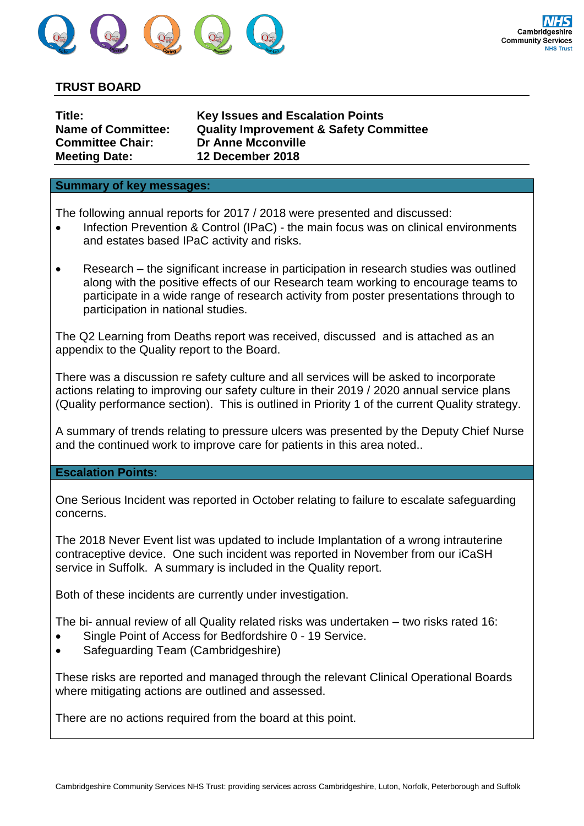

## **TRUST BOARD**

| <b>Key Issues and Escalation Points</b><br><b>Quality Improvement &amp; Safety Committee</b><br><b>Dr Anne Mcconville</b> |
|---------------------------------------------------------------------------------------------------------------------------|
| 12 December 2018                                                                                                          |
|                                                                                                                           |

## **Summary of key messages:**

The following annual reports for 2017 / 2018 were presented and discussed:

- Infection Prevention & Control (IPaC) the main focus was on clinical environments and estates based IPaC activity and risks.
- Research the significant increase in participation in research studies was outlined along with the positive effects of our Research team working to encourage teams to participate in a wide range of research activity from poster presentations through to participation in national studies.

The Q2 Learning from Deaths report was received, discussed and is attached as an appendix to the Quality report to the Board.

There was a discussion re safety culture and all services will be asked to incorporate actions relating to improving our safety culture in their 2019 / 2020 annual service plans (Quality performance section). This is outlined in Priority 1 of the current Quality strategy.

A summary of trends relating to pressure ulcers was presented by the Deputy Chief Nurse and the continued work to improve care for patients in this area noted..

## **Escalation Points:**

One Serious Incident was reported in October relating to failure to escalate safeguarding concerns.

The 2018 Never Event list was updated to include Implantation of a wrong intrauterine contraceptive device. One such incident was reported in November from our iCaSH service in Suffolk. A summary is included in the Quality report.

Both of these incidents are currently under investigation.

The bi- annual review of all Quality related risks was undertaken – two risks rated 16:

- Single Point of Access for Bedfordshire 0 19 Service.
- Safeguarding Team (Cambridgeshire)

These risks are reported and managed through the relevant Clinical Operational Boards where mitigating actions are outlined and assessed.

There are no actions required from the board at this point.